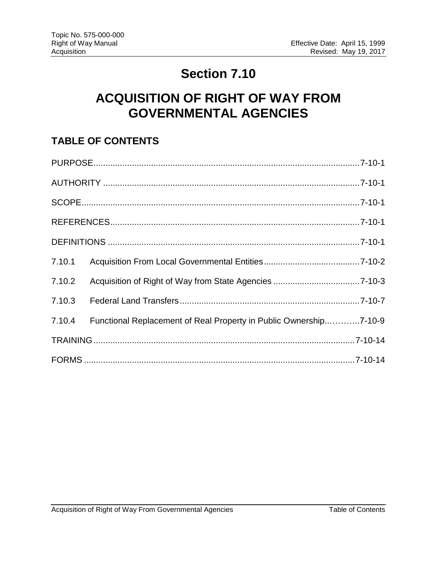## **Section 7.10**

# **ACQUISITION OF RIGHT OF WAY FROM GOVERNMENTAL AGENCIES**

### **TABLE OF CONTENTS**

| 7.10.1 |                                                                   |  |
|--------|-------------------------------------------------------------------|--|
| 7.10.2 |                                                                   |  |
| 7.10.3 |                                                                   |  |
| 7.10.4 | Functional Replacement of Real Property in Public Ownership7-10-9 |  |
|        |                                                                   |  |
|        |                                                                   |  |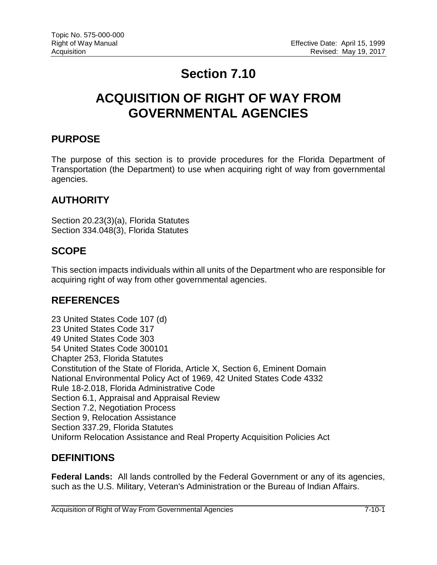## **Section 7.10**

## **ACQUISITION OF RIGHT OF WAY FROM GOVERNMENTAL AGENCIES**

#### <span id="page-1-0"></span>**PURPOSE**

The purpose of this section is to provide procedures for the Florida Department of Transportation (the Department) to use when acquiring right of way from governmental agencies.

#### <span id="page-1-1"></span>**AUTHORITY**

Section 20.23(3)(a), Florida Statutes Section 334.048(3), Florida Statutes

#### <span id="page-1-2"></span>**SCOPE**

This section impacts individuals within all units of the Department who are responsible for acquiring right of way from other governmental agencies.

#### <span id="page-1-3"></span>**REFERENCES**

23 United States Code 107 (d) 23 United States Code 317 49 United States Code 303 54 United States Code 300101 Chapter 253, Florida Statutes Constitution of the State of Florida, Article X, Section 6, Eminent Domain National Environmental Policy Act of 1969, 42 United States Code 4332 Rule 18-2.018, Florida Administrative Code Section 6.1, Appraisal and Appraisal Review Section 7.2, Negotiation Process Section 9, Relocation Assistance Section 337.29, Florida Statutes Uniform Relocation Assistance and Real Property Acquisition Policies Act

#### <span id="page-1-4"></span>**DEFINITIONS**

**Federal Lands:** All lands controlled by the Federal Government or any of its agencies, such as the U.S. Military, Veteran's Administration or the Bureau of Indian Affairs.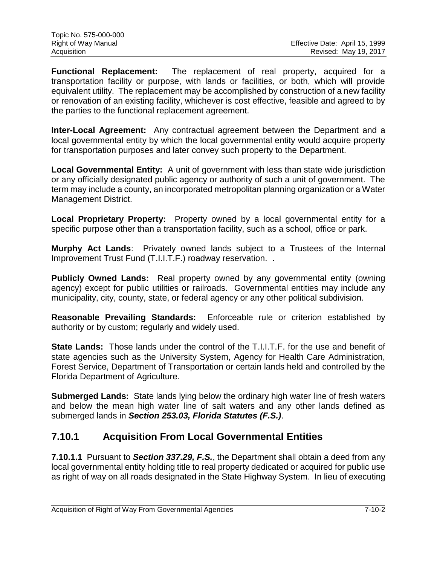**Functional Replacement:** The replacement of real property, acquired for a transportation facility or purpose, with lands or facilities, or both, which will provide equivalent utility. The replacement may be accomplished by construction of a new facility or renovation of an existing facility, whichever is cost effective, feasible and agreed to by the parties to the functional replacement agreement.

**Inter-Local Agreement:** Any contractual agreement between the Department and a local governmental entity by which the local governmental entity would acquire property for transportation purposes and later convey such property to the Department.

**Local Governmental Entity:** A unit of government with less than state wide jurisdiction or any officially designated public agency or authority of such a unit of government. The term may include a county, an incorporated metropolitan planning organization or a Water Management District.

**Local Proprietary Property:** Property owned by a local governmental entity for a specific purpose other than a transportation facility, such as a school, office or park.

**Murphy Act Lands**: Privately owned lands subject to a Trustees of the Internal Improvement Trust Fund (T.I.I.T.F.) roadway reservation. .

**Publicly Owned Lands:** Real property owned by any governmental entity (owning agency) except for public utilities or railroads. Governmental entities may include any municipality, city, county, state, or federal agency or any other political subdivision.

**Reasonable Prevailing Standards:** Enforceable rule or criterion established by authority or by custom; regularly and widely used.

**State Lands:** Those lands under the control of the T.I.I.T.F. for the use and benefit of state agencies such as the University System, Agency for Health Care Administration, Forest Service, Department of Transportation or certain lands held and controlled by the Florida Department of Agriculture.

**Submerged Lands:** State lands lying below the ordinary high water line of fresh waters and below the mean high water line of salt waters and any other lands defined as submerged lands in *Section 253.03, Florida Statutes (F.S.)*.

### <span id="page-2-0"></span>**7.10.1 Acquisition From Local Governmental Entities**

**7.10.1.1** Pursuant to *Section 337.29, F.S.*, the Department shall obtain a deed from any local governmental entity holding title to real property dedicated or acquired for public use as right of way on all roads designated in the State Highway System. In lieu of executing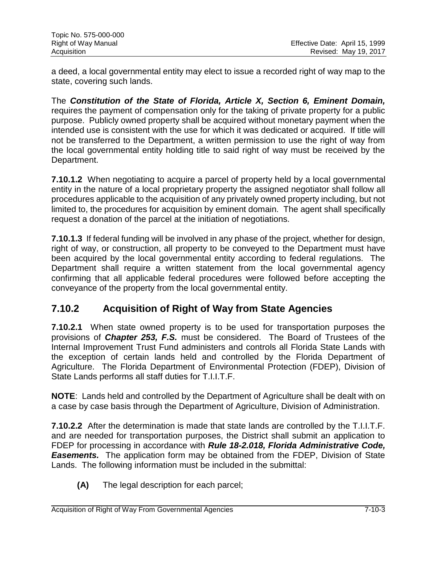| Topic No. 575-000-000 |                                |
|-----------------------|--------------------------------|
| Right of Way Manual   | Effective Date: April 15, 1999 |
| Acquisition           | Revised: May 19, 2017          |

a deed, a local governmental entity may elect to issue a recorded right of way map to the state, covering such lands.

The *Constitution of the State of Florida, Article X, Section 6, Eminent Domain,*  requires the payment of compensation only for the taking of private property for a public purpose. Publicly owned property shall be acquired without monetary payment when the intended use is consistent with the use for which it was dedicated or acquired. If title will not be transferred to the Department, a written permission to use the right of way from the local governmental entity holding title to said right of way must be received by the Department.

**7.10.1.2** When negotiating to acquire a parcel of property held by a local governmental entity in the nature of a local proprietary property the assigned negotiator shall follow all procedures applicable to the acquisition of any privately owned property including, but not limited to, the procedures for acquisition by eminent domain. The agent shall specifically request a donation of the parcel at the initiation of negotiations.

**7.10.1.3** If federal funding will be involved in any phase of the project, whether for design, right of way, or construction, all property to be conveyed to the Department must have been acquired by the local governmental entity according to federal regulations. The Department shall require a written statement from the local governmental agency confirming that all applicable federal procedures were followed before accepting the conveyance of the property from the local governmental entity.

### <span id="page-3-0"></span>**7.10.2 Acquisition of Right of Way from State Agencies**

**7.10.2.1** When state owned property is to be used for transportation purposes the provisions of *Chapter 253, F.S.* must be considered. The Board of Trustees of the Internal Improvement Trust Fund administers and controls all Florida State Lands with the exception of certain lands held and controlled by the Florida Department of Agriculture. The Florida Department of Environmental Protection (FDEP), Division of State Lands performs all staff duties for T.I.I.T.F.

**NOTE**: Lands held and controlled by the Department of Agriculture shall be dealt with on a case by case basis through the Department of Agriculture, Division of Administration.

**7.10.2.2** After the determination is made that state lands are controlled by the T.I.I.T.F. and are needed for transportation purposes, the District shall submit an application to FDEP for processing in accordance with *Rule 18-2.018, Florida Administrative Code, Easements.* The application form may be obtained from the FDEP, Division of State Lands. The following information must be included in the submittal:

**(A)** The legal description for each parcel;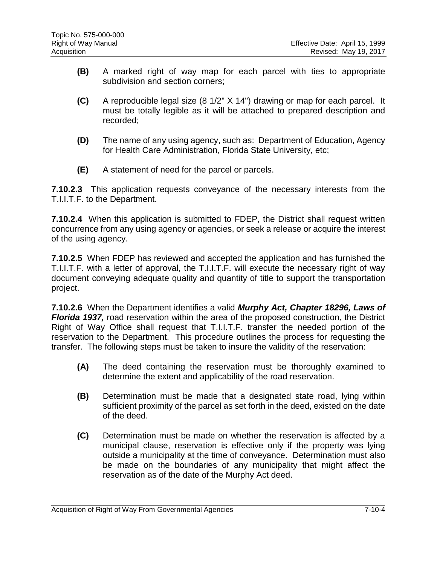- **(B)** A marked right of way map for each parcel with ties to appropriate subdivision and section corners;
- **(C)** A reproducible legal size (8 1/2" X 14") drawing or map for each parcel. It must be totally legible as it will be attached to prepared description and recorded;
- **(D)** The name of any using agency, such as: Department of Education, Agency for Health Care Administration, Florida State University, etc;
- **(E)** A statement of need for the parcel or parcels.

**7.10.2.3** This application requests conveyance of the necessary interests from the T.I.I.T.F. to the Department.

**7.10.2.4** When this application is submitted to FDEP, the District shall request written concurrence from any using agency or agencies, or seek a release or acquire the interest of the using agency.

**7.10.2.5** When FDEP has reviewed and accepted the application and has furnished the T.I.I.T.F. with a letter of approval, the T.I.I.T.F. will execute the necessary right of way document conveying adequate quality and quantity of title to support the transportation project.

**7.10.2.6** When the Department identifies a valid *Murphy Act, Chapter 18296, Laws of Florida 1937,* road reservation within the area of the proposed construction, the District Right of Way Office shall request that T.I.I.T.F. transfer the needed portion of the reservation to the Department. This procedure outlines the process for requesting the transfer. The following steps must be taken to insure the validity of the reservation:

- **(A)** The deed containing the reservation must be thoroughly examined to determine the extent and applicability of the road reservation.
- **(B)** Determination must be made that a designated state road, lying within sufficient proximity of the parcel as set forth in the deed, existed on the date of the deed.
- **(C)** Determination must be made on whether the reservation is affected by a municipal clause, reservation is effective only if the property was lying outside a municipality at the time of conveyance. Determination must also be made on the boundaries of any municipality that might affect the reservation as of the date of the Murphy Act deed.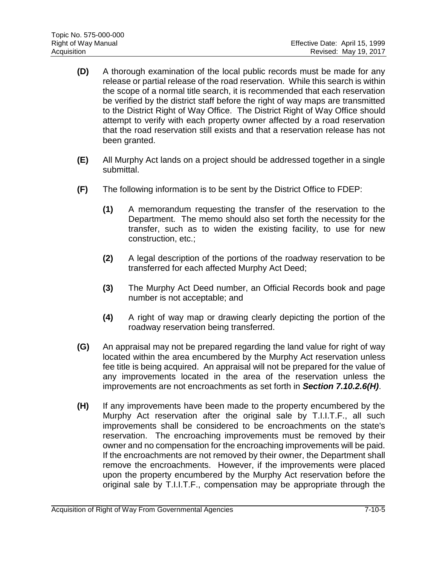- **(D)** A thorough examination of the local public records must be made for any release or partial release of the road reservation. While this search is within the scope of a normal title search, it is recommended that each reservation be verified by the district staff before the right of way maps are transmitted to the District Right of Way Office. The District Right of Way Office should attempt to verify with each property owner affected by a road reservation that the road reservation still exists and that a reservation release has not been granted.
- **(E)** All Murphy Act lands on a project should be addressed together in a single submittal.
- **(F)** The following information is to be sent by the District Office to FDEP:
	- **(1)** A memorandum requesting the transfer of the reservation to the Department. The memo should also set forth the necessity for the transfer, such as to widen the existing facility, to use for new construction, etc.;
	- **(2)** A legal description of the portions of the roadway reservation to be transferred for each affected Murphy Act Deed;
	- **(3)** The Murphy Act Deed number, an Official Records book and page number is not acceptable; and
	- **(4)** A right of way map or drawing clearly depicting the portion of the roadway reservation being transferred.
- **(G)** An appraisal may not be prepared regarding the land value for right of way located within the area encumbered by the Murphy Act reservation unless fee title is being acquired. An appraisal will not be prepared for the value of any improvements located in the area of the reservation unless the improvements are not encroachments as set forth in *Section 7.10.2.6(H)*.
- **(H)** If any improvements have been made to the property encumbered by the Murphy Act reservation after the original sale by T.I.I.T.F., all such improvements shall be considered to be encroachments on the state's reservation. The encroaching improvements must be removed by their owner and no compensation for the encroaching improvements will be paid. If the encroachments are not removed by their owner, the Department shall remove the encroachments. However, if the improvements were placed upon the property encumbered by the Murphy Act reservation before the original sale by T.I.I.T.F., compensation may be appropriate through the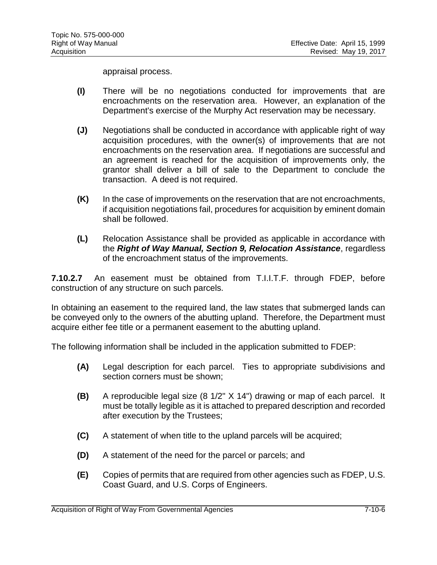appraisal process.

- **(I)** There will be no negotiations conducted for improvements that are encroachments on the reservation area. However, an explanation of the Department's exercise of the Murphy Act reservation may be necessary.
- **(J)** Negotiations shall be conducted in accordance with applicable right of way acquisition procedures, with the owner(s) of improvements that are not encroachments on the reservation area. If negotiations are successful and an agreement is reached for the acquisition of improvements only, the grantor shall deliver a bill of sale to the Department to conclude the transaction. A deed is not required.
- **(K)** In the case of improvements on the reservation that are not encroachments, if acquisition negotiations fail, procedures for acquisition by eminent domain shall be followed.
- **(L)** Relocation Assistance shall be provided as applicable in accordance with the *Right of Way Manual, Section 9, Relocation Assistance*, regardless of the encroachment status of the improvements.

**7.10.2.7** An easement must be obtained from T.I.I.T.F. through FDEP, before construction of any structure on such parcels.

In obtaining an easement to the required land, the law states that submerged lands can be conveyed only to the owners of the abutting upland. Therefore, the Department must acquire either fee title or a permanent easement to the abutting upland.

The following information shall be included in the application submitted to FDEP:

- **(A)** Legal description for each parcel. Ties to appropriate subdivisions and section corners must be shown;
- **(B)** A reproducible legal size (8 1/2" X 14") drawing or map of each parcel. It must be totally legible as it is attached to prepared description and recorded after execution by the Trustees;
- **(C)** A statement of when title to the upland parcels will be acquired;
- **(D)** A statement of the need for the parcel or parcels; and
- **(E)** Copies of permits that are required from other agencies such as FDEP, U.S. Coast Guard, and U.S. Corps of Engineers.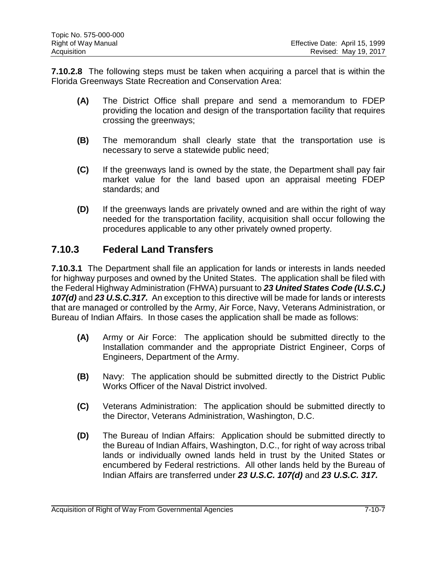**7.10.2.8** The following steps must be taken when acquiring a parcel that is within the Florida Greenways State Recreation and Conservation Area:

- **(A)** The District Office shall prepare and send a memorandum to FDEP providing the location and design of the transportation facility that requires crossing the greenways;
- **(B)** The memorandum shall clearly state that the transportation use is necessary to serve a statewide public need;
- **(C)** If the greenways land is owned by the state, the Department shall pay fair market value for the land based upon an appraisal meeting FDEP standards; and
- **(D)** If the greenways lands are privately owned and are within the right of way needed for the transportation facility, acquisition shall occur following the procedures applicable to any other privately owned property.

#### <span id="page-7-0"></span>**7.10.3 Federal Land Transfers**

**7.10.3.1** The Department shall file an application for lands or interests in lands needed for highway purposes and owned by the United States. The application shall be filed with the Federal Highway Administration (FHWA) pursuant to *23 United States Code (U.S.C.) 107(d)* and *23 U.S.C.317.* An exception to this directive will be made for lands or interests that are managed or controlled by the Army, Air Force, Navy, Veterans Administration, or Bureau of Indian Affairs. In those cases the application shall be made as follows:

- **(A)** Army or Air Force:The application should be submitted directly to the Installation commander and the appropriate District Engineer, Corps of Engineers, Department of the Army.
- **(B)** Navy: The application should be submitted directly to the District Public Works Officer of the Naval District involved.
- **(C)** Veterans Administration:The application should be submitted directly to the Director, Veterans Administration, Washington, D.C.
- **(D)** The Bureau of Indian Affairs:Application should be submitted directly to the Bureau of Indian Affairs, Washington, D.C., for right of way across tribal lands or individually owned lands held in trust by the United States or encumbered by Federal restrictions. All other lands held by the Bureau of Indian Affairs are transferred under *23 U.S.C. 107(d)* and *23 U.S.C. 317.*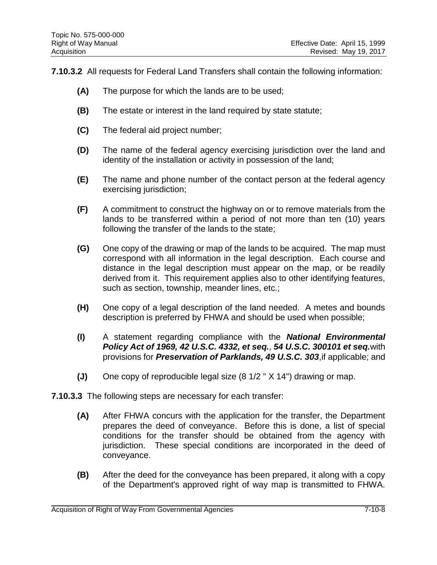**7.10.3.2** All requests for Federal Land Transfers shall contain the following information:

- **(A)** The purpose for which the lands are to be used;
- **(B)** The estate or interest in the land required by state statute;
- **(C)** The federal aid project number;
- **(D)** The name of the federal agency exercising jurisdiction over the land and identity of the installation or activity in possession of the land;
- **(E)** The name and phone number of the contact person at the federal agency exercising jurisdiction;
- **(F)** A commitment to construct the highway on or to remove materials from the lands to be transferred within a period of not more than ten (10) years following the transfer of the lands to the state;
- **(G)** One copy of the drawing or map of the lands to be acquired. The map must correspond with all information in the legal description. Each course and distance in the legal description must appear on the map, or be readily derived from it. This requirement applies also to other identifying features, such as section, township, meander lines, etc.;
- **(H)** One copy of a legal description of the land needed. A metes and bounds description is preferred by FHWA and should be used when possible;
- **(I)** A statement regarding compliance with the *National Environmental Policy Act of 1969, 42 U.S.C. 4332, et seq.*, *54 U.S.C. 300101 et seq.*with provisions for *Preservation of Parklands, 49 U.S.C. 303*,if applicable; and
- **(J)** One copy of reproducible legal size (8 1/2 " X 14") drawing or map.
- **7.10.3.3** The following steps are necessary for each transfer:
	- **(A)** After FHWA concurs with the application for the transfer, the Department prepares the deed of conveyance. Before this is done, a list of special conditions for the transfer should be obtained from the agency with jurisdiction. These special conditions are incorporated in the deed of conveyance.
	- **(B)** After the deed for the conveyance has been prepared, it along with a copy of the Department's approved right of way map is transmitted to FHWA.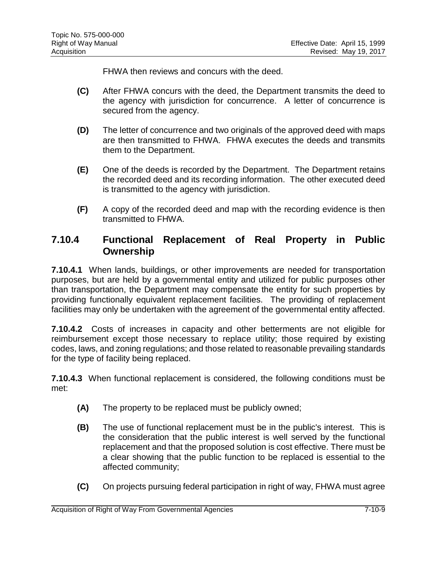FHWA then reviews and concurs with the deed.

- **(C)** After FHWA concurs with the deed, the Department transmits the deed to the agency with jurisdiction for concurrence. A letter of concurrence is secured from the agency.
- **(D)** The letter of concurrence and two originals of the approved deed with maps are then transmitted to FHWA. FHWA executes the deeds and transmits them to the Department.
- **(E)** One of the deeds is recorded by the Department. The Department retains the recorded deed and its recording information. The other executed deed is transmitted to the agency with jurisdiction.
- **(F)** A copy of the recorded deed and map with the recording evidence is then transmitted to FHWA.

#### <span id="page-9-0"></span>**7.10.4 Functional Replacement of Real Property in Public Ownership**

**7.10.4.1** When lands, buildings, or other improvements are needed for transportation purposes, but are held by a governmental entity and utilized for public purposes other than transportation, the Department may compensate the entity for such properties by providing functionally equivalent replacement facilities. The providing of replacement facilities may only be undertaken with the agreement of the governmental entity affected.

**7.10.4.2** Costs of increases in capacity and other betterments are not eligible for reimbursement except those necessary to replace utility; those required by existing codes, laws, and zoning regulations; and those related to reasonable prevailing standards for the type of facility being replaced.

**7.10.4.3** When functional replacement is considered, the following conditions must be met:

- **(A)** The property to be replaced must be publicly owned;
- **(B)** The use of functional replacement must be in the public's interest. This is the consideration that the public interest is well served by the functional replacement and that the proposed solution is cost effective. There must be a clear showing that the public function to be replaced is essential to the affected community;
- **(C)** On projects pursuing federal participation in right of way, FHWA must agree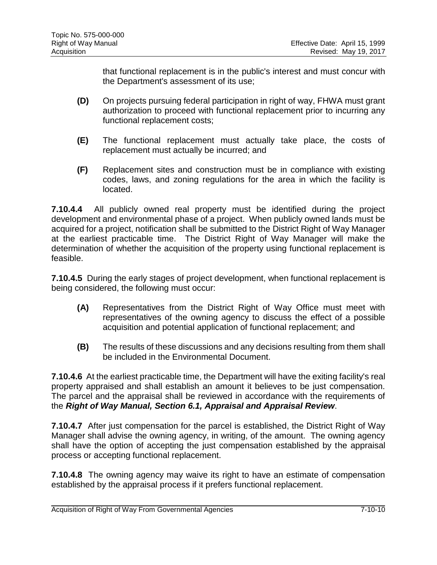that functional replacement is in the public's interest and must concur with the Department's assessment of its use;

- **(D)** On projects pursuing federal participation in right of way, FHWA must grant authorization to proceed with functional replacement prior to incurring any functional replacement costs;
- **(E)** The functional replacement must actually take place, the costs of replacement must actually be incurred; and
- **(F)** Replacement sites and construction must be in compliance with existing codes, laws, and zoning regulations for the area in which the facility is located.

**7.10.4.4** All publicly owned real property must be identified during the project development and environmental phase of a project. When publicly owned lands must be acquired for a project, notification shall be submitted to the District Right of Way Manager at the earliest practicable time. The District Right of Way Manager will make the determination of whether the acquisition of the property using functional replacement is feasible.

**7.10.4.5** During the early stages of project development, when functional replacement is being considered, the following must occur:

- **(A)** Representatives from the District Right of Way Office must meet with representatives of the owning agency to discuss the effect of a possible acquisition and potential application of functional replacement; and
- **(B)** The results of these discussions and any decisions resulting from them shall be included in the Environmental Document.

**7.10.4.6** At the earliest practicable time, the Department will have the exiting facility's real property appraised and shall establish an amount it believes to be just compensation. The parcel and the appraisal shall be reviewed in accordance with the requirements of the *Right of Way Manual, Section 6.1, Appraisal and Appraisal Review*.

**7.10.4.7** After just compensation for the parcel is established, the District Right of Way Manager shall advise the owning agency, in writing, of the amount. The owning agency shall have the option of accepting the just compensation established by the appraisal process or accepting functional replacement.

**7.10.4.8** The owning agency may waive its right to have an estimate of compensation established by the appraisal process if it prefers functional replacement.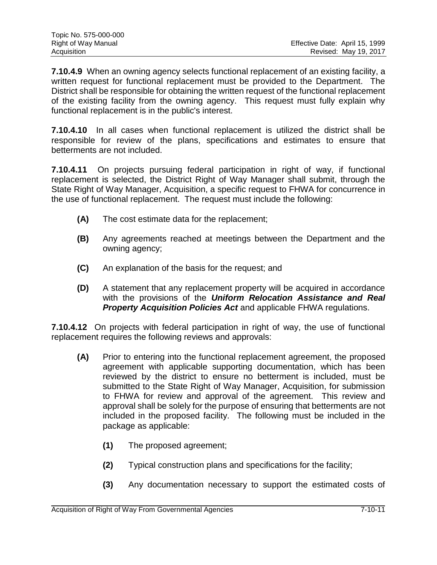| Topic No. 575-000-000 |                                |
|-----------------------|--------------------------------|
| Right of Way Manual   | Effective Date: April 15, 1999 |
| Acquisition           | Revised: May 19, 2017          |

**7.10.4.9** When an owning agency selects functional replacement of an existing facility, a written request for functional replacement must be provided to the Department. The District shall be responsible for obtaining the written request of the functional replacement of the existing facility from the owning agency. This request must fully explain why functional replacement is in the public's interest.

**7.10.4.10** In all cases when functional replacement is utilized the district shall be responsible for review of the plans, specifications and estimates to ensure that betterments are not included.

**7.10.4.11** On projects pursuing federal participation in right of way, if functional replacement is selected, the District Right of Way Manager shall submit, through the State Right of Way Manager, Acquisition, a specific request to FHWA for concurrence in the use of functional replacement. The request must include the following:

- **(A)** The cost estimate data for the replacement;
- **(B)** Any agreements reached at meetings between the Department and the owning agency;
- **(C)** An explanation of the basis for the request; and
- **(D)** A statement that any replacement property will be acquired in accordance with the provisions of the *Uniform Relocation Assistance and Real Property Acquisition Policies Act* and applicable FHWA regulations.

**7.10.4.12** On projects with federal participation in right of way, the use of functional replacement requires the following reviews and approvals:

- **(A)** Prior to entering into the functional replacement agreement, the proposed agreement with applicable supporting documentation, which has been reviewed by the district to ensure no betterment is included, must be submitted to the State Right of Way Manager, Acquisition, for submission to FHWA for review and approval of the agreement. This review and approval shall be solely for the purpose of ensuring that betterments are not included in the proposed facility. The following must be included in the package as applicable:
	- **(1)** The proposed agreement;
	- **(2)** Typical construction plans and specifications for the facility;
	- **(3)** Any documentation necessary to support the estimated costs of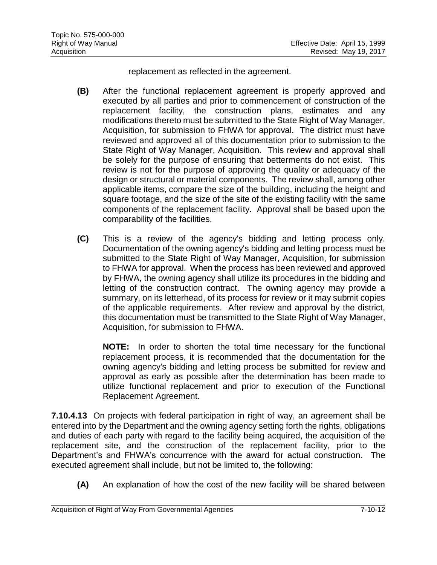replacement as reflected in the agreement.

- **(B)** After the functional replacement agreement is properly approved and executed by all parties and prior to commencement of construction of the replacement facility, the construction plans, estimates and any modifications thereto must be submitted to the State Right of Way Manager, Acquisition, for submission to FHWA for approval. The district must have reviewed and approved all of this documentation prior to submission to the State Right of Way Manager, Acquisition. This review and approval shall be solely for the purpose of ensuring that betterments do not exist. This review is not for the purpose of approving the quality or adequacy of the design or structural or material components. The review shall, among other applicable items, compare the size of the building, including the height and square footage, and the size of the site of the existing facility with the same components of the replacement facility. Approval shall be based upon the comparability of the facilities.
- **(C)** This is a review of the agency's bidding and letting process only. Documentation of the owning agency's bidding and letting process must be submitted to the State Right of Way Manager, Acquisition, for submission to FHWA for approval. When the process has been reviewed and approved by FHWA, the owning agency shall utilize its procedures in the bidding and letting of the construction contract. The owning agency may provide a summary, on its letterhead, of its process for review or it may submit copies of the applicable requirements. After review and approval by the district, this documentation must be transmitted to the State Right of Way Manager, Acquisition, for submission to FHWA.

**NOTE:** In order to shorten the total time necessary for the functional replacement process, it is recommended that the documentation for the owning agency's bidding and letting process be submitted for review and approval as early as possible after the determination has been made to utilize functional replacement and prior to execution of the Functional Replacement Agreement.

**7.10.4.13** On projects with federal participation in right of way, an agreement shall be entered into by the Department and the owning agency setting forth the rights, obligations and duties of each party with regard to the facility being acquired, the acquisition of the replacement site, and the construction of the replacement facility, prior to the Department's and FHWA's concurrence with the award for actual construction. The executed agreement shall include, but not be limited to, the following:

**(A)** An explanation of how the cost of the new facility will be shared between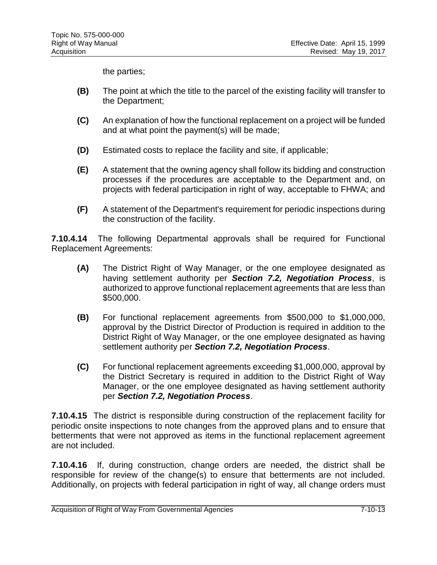the parties;

- **(B)** The point at which the title to the parcel of the existing facility will transfer to the Department;
- **(C)** An explanation of how the functional replacement on a project will be funded and at what point the payment(s) will be made;
- **(D)** Estimated costs to replace the facility and site, if applicable;
- **(E)** A statement that the owning agency shall follow its bidding and construction processes if the procedures are acceptable to the Department and, on projects with federal participation in right of way, acceptable to FHWA; and
- **(F)** A statement of the Department's requirement for periodic inspections during the construction of the facility.

**7.10.4.14** The following Departmental approvals shall be required for Functional Replacement Agreements:

- **(A)** The District Right of Way Manager, or the one employee designated as having settlement authority per *Section 7.2, Negotiation Process*, is authorized to approve functional replacement agreements that are less than \$500,000.
- **(B)** For functional replacement agreements from \$500,000 to \$1,000,000, approval by the District Director of Production is required in addition to the District Right of Way Manager, or the one employee designated as having settlement authority per *Section 7.2, Negotiation Process*.
- **(C)** For functional replacement agreements exceeding \$1,000,000, approval by the District Secretary is required in addition to the District Right of Way Manager, or the one employee designated as having settlement authority per *Section 7.2, Negotiation Process*.

**7.10.4.15** The district is responsible during construction of the replacement facility for periodic onsite inspections to note changes from the approved plans and to ensure that betterments that were not approved as items in the functional replacement agreement are not included.

**7.10.4.16** If, during construction, change orders are needed, the district shall be responsible for review of the change(s) to ensure that betterments are not included. Additionally, on projects with federal participation in right of way, all change orders must